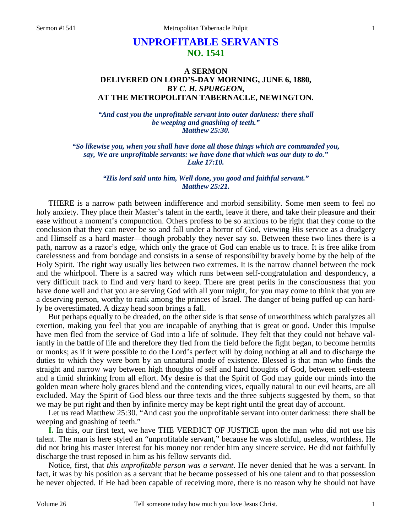## **UNPROFITABLE SERVANTS NO. 1541**

## **A SERMON DELIVERED ON LORD'S-DAY MORNING, JUNE 6, 1880,**  *BY C. H. SPURGEON,*  **AT THE METROPOLITAN TABERNACLE, NEWINGTON.**

*"And cast you the unprofitable servant into outer darkness: there shall be weeping and gnashing of teeth." Matthew 25:30.* 

*"So likewise you, when you shall have done all those things which are commanded you, say, We are unprofitable servants: we have done that which was our duty to do." Luke 17:10.* 

> *"His lord said unto him, Well done, you good and faithful servant." Matthew 25:21.*

THERE is a narrow path between indifference and morbid sensibility. Some men seem to feel no holy anxiety. They place their Master's talent in the earth, leave it there, and take their pleasure and their ease without a moment's compunction. Others profess to be so anxious to be right that they come to the conclusion that they can never be so and fall under a horror of God, viewing His service as a drudgery and Himself as a hard master—though probably they never say so. Between these two lines there is a path, narrow as a razor's edge, which only the grace of God can enable us to trace. It is free alike from carelessness and from bondage and consists in a sense of responsibility bravely borne by the help of the Holy Spirit. The right way usually lies between two extremes. It is the narrow channel between the rock and the whirlpool. There is a sacred way which runs between self-congratulation and despondency, a very difficult track to find and very hard to keep. There are great perils in the consciousness that you have done well and that you are serving God with all your might, for you may come to think that you are a deserving person, worthy to rank among the princes of Israel. The danger of being puffed up can hardly be overestimated. A dizzy head soon brings a fall.

 But perhaps equally to be dreaded, on the other side is that sense of unworthiness which paralyzes all exertion, making you feel that you are incapable of anything that is great or good. Under this impulse have men fled from the service of God into a life of solitude. They felt that they could not behave valiantly in the battle of life and therefore they fled from the field before the fight began, to become hermits or monks; as if it were possible to do the Lord's perfect will by doing nothing at all and to discharge the duties to which they were born by an unnatural mode of existence. Blessed is that man who finds the straight and narrow way between high thoughts of self and hard thoughts of God, between self-esteem and a timid shrinking from all effort. My desire is that the Spirit of God may guide our minds into the golden mean where holy graces blend and the contending vices, equally natural to our evil hearts, are all excluded. May the Spirit of God bless our three texts and the three subjects suggested by them, so that we may be put right and then by infinite mercy may be kept right until the great day of account.

 Let us read Matthew 25:30. "And cast you the unprofitable servant into outer darkness: there shall be weeping and gnashing of teeth."

**I.** In this, our first text, we have THE VERDICT OF JUSTICE upon the man who did not use his talent. The man is here styled an "unprofitable servant," because he was slothful, useless, worthless. He did not bring his master interest for his money nor render him any sincere service. He did not faithfully discharge the trust reposed in him as his fellow servants did.

 Notice, first, that *this unprofitable person was a servant*. He never denied that he was a servant. In fact, it was by his position as a servant that he became possessed of his one talent and to that possession he never objected. If He had been capable of receiving more, there is no reason why he should not have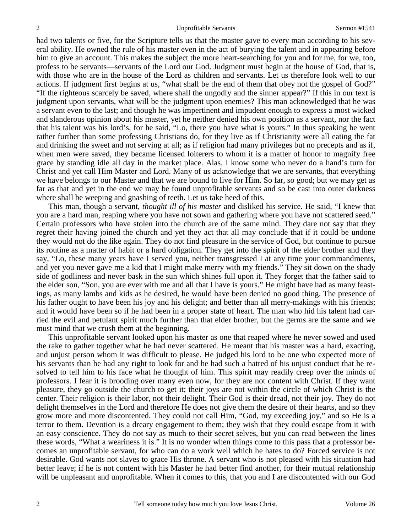had two talents or five, for the Scripture tells us that the master gave to every man according to his several ability. He owned the rule of his master even in the act of burying the talent and in appearing before him to give an account. This makes the subject the more heart-searching for you and for me, for we, too, profess to be servants—servants of the Lord our God. Judgment must begin at the house of God, that is, with those who are in the house of the Lord as children and servants. Let us therefore look well to our actions. If judgment first begins at us, "what shall be the end of them that obey not the gospel of God?" "If the righteous scarcely be saved, where shall the ungodly and the sinner appear?" If this in our text is judgment upon servants, what will be the judgment upon enemies? This man acknowledged that he was a servant even to the last; and though he was impertinent and impudent enough to express a most wicked and slanderous opinion about his master, yet he neither denied his own position as a servant, nor the fact that his talent was his lord's, for he said, "Lo, there you have what is yours." In thus speaking he went rather further than some professing Christians do, for they live as if Christianity were all eating the fat and drinking the sweet and not serving at all; as if religion had many privileges but no precepts and as if, when men were saved, they became licensed loiterers to whom it is a matter of honor to magnify free grace by standing idle all day in the market place. Alas, I know some who never do a hand's turn for Christ and yet call Him Master and Lord. Many of us acknowledge that we are servants, that everything we have belongs to our Master and that we are bound to live for Him. So far, so good; but we may get as far as that and yet in the end we may be found unprofitable servants and so be cast into outer darkness where shall be weeping and gnashing of teeth. Let us take heed of this.

 This man, though a servant, *thought ill of his master* and disliked his service. He said, "I knew that you are a hard man, reaping where you have not sown and gathering where you have not scattered seed." Certain professors who have stolen into the church are of the same mind. They dare not say that they regret their having joined the church and yet they act that all may conclude that if it could be undone they would not do the like again. They do not find pleasure in the service of God, but continue to pursue its routine as a matter of habit or a hard obligation. They get into the spirit of the elder brother and they say, "Lo, these many years have I served you, neither transgressed I at any time your commandments, and yet you never gave me a kid that I might make merry with my friends." They sit down on the shady side of godliness and never bask in the sun which shines full upon it. They forget that the father said to the elder son, "Son, you are ever with me and all that I have is yours." He might have had as many feastings, as many lambs and kids as he desired, he would have been denied no good thing. The presence of his father ought to have been his joy and his delight; and better than all merry-makings with his friends; and it would have been so if he had been in a proper state of heart. The man who hid his talent had carried the evil and petulant spirit much further than that elder brother, but the germs are the same and we must mind that we crush them at the beginning.

 This unprofitable servant looked upon his master as one that reaped where he never sowed and used the rake to gather together what he had never scattered. He meant that his master was a hard, exacting, and unjust person whom it was difficult to please. He judged his lord to be one who expected more of his servants than he had any right to look for and he had such a hatred of his unjust conduct that he resolved to tell him to his face what he thought of him. This spirit may readily creep over the minds of professors. I fear it is brooding over many even now, for they are not content with Christ. If they want pleasure, they go outside the church to get it; their joys are not within the circle of which Christ is the center. Their religion is their labor, not their delight. Their God is their dread, not their joy. They do not delight themselves in the Lord and therefore He does not give them the desire of their hearts, and so they grow more and more discontented. They could not call Him, "God, my exceeding joy," and so He is a terror to them. Devotion is a dreary engagement to them; they wish that they could escape from it with an easy conscience. They do not say as much to their secret selves, but you can read between the lines these words, "What a weariness it is." It is no wonder when things come to this pass that a professor becomes an unprofitable servant, for who can do a work well which he hates to do? Forced service is not desirable. God wants not slaves to grace His throne. A servant who is not pleased with his situation had better leave; if he is not content with his Master he had better find another, for their mutual relationship will be unpleasant and unprofitable. When it comes to this, that you and I are discontented with our God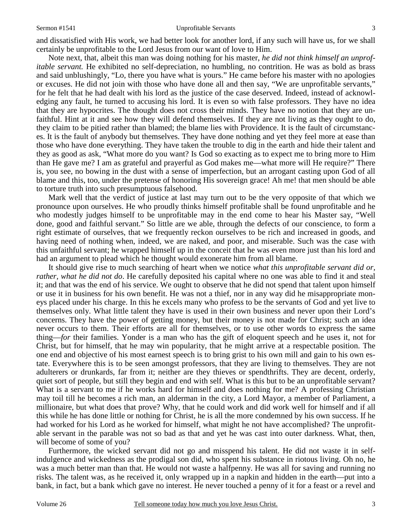## Sermon #1541 Unprofitable Servants 3

and dissatisfied with His work, we had better look for another lord, if any such will have us, for we shall certainly be unprofitable to the Lord Jesus from our want of love to Him.

 Note next, that, albeit this man was doing nothing for his master, *he did not think himself an unprofitable servant.* He exhibited no self-depreciation, no humbling, no contrition. He was as bold as brass and said unblushingly, "Lo, there you have what is yours." He came before his master with no apologies or excuses. He did not join with those who have done all and then say, "We are unprofitable servants," for he felt that he had dealt with his lord as the justice of the case deserved. Indeed, instead of acknowledging any fault, he turned to accusing his lord. It is even so with false professors. They have no idea that they are hypocrites. The thought does not cross their minds. They have no notion that they are unfaithful. Hint at it and see how they will defend themselves. If they are not living as they ought to do, they claim to be pitied rather than blamed; the blame lies with Providence. It is the fault of circumstances. It is the fault of anybody but themselves. They have done nothing and yet they feel more at ease than those who have done everything. They have taken the trouble to dig in the earth and hide their talent and they as good as ask, "What more do you want? Is God so exacting as to expect me to bring more to Him than He gave me? I am as grateful and prayerful as God makes me—what more will He require?" There is, you see, no bowing in the dust with a sense of imperfection, but an arrogant casting upon God of all blame and this, too, under the pretense of honoring His sovereign grace! Ah me! that men should be able to torture truth into such presumptuous falsehood.

 Mark well that the verdict of justice at last may turn out to be the very opposite of that which we pronounce upon ourselves. He who proudly thinks himself profitable shall be found unprofitable and he who modestly judges himself to be unprofitable may in the end come to hear his Master say, "Well done, good and faithful servant." So little are we able, through the defects of our conscience, to form a right estimate of ourselves, that we frequently reckon ourselves to be rich and increased in goods, and having need of nothing when, indeed, we are naked, and poor, and miserable. Such was the case with this unfaithful servant; he wrapped himself up in the conceit that he was even more just than his lord and had an argument to plead which he thought would exonerate him from all blame.

 It should give rise to much searching of heart when we notice *what this unprofitable servant did or, rather, what he did not do*. He carefully deposited his capital where no one was able to find it and steal it; and that was the end of his service. We ought to observe that he did not spend that talent upon himself or use it in business for his own benefit. He was not a thief, nor in any way did he misappropriate moneys placed under his charge. In this he excels many who profess to be the servants of God and yet live to themselves only. What little talent they have is used in their own business and never upon their Lord's concerns. They have the power of getting money, but their money is not made for Christ; such an idea never occurs to them. Their efforts are all for themselves, or to use other words to express the same thing—*for* their families. Yonder is a man who has the gift of eloquent speech and he uses it, not for Christ, but for himself, that he may win popularity, that he might arrive at a respectable position. The one end and objective of his most earnest speech is to bring grist to his own mill and gain to his own estate. Everywhere this is to be seen amongst professors, that they are living to themselves. They are not adulterers or drunkards, far from it; neither are they thieves or spendthrifts. They are decent, orderly, quiet sort of people, but still they begin and end with self. What is this but to be an unprofitable servant? What is a servant to me if he works hard for himself and does nothing for me? A professing Christian may toil till he becomes a rich man, an alderman in the city, a Lord Mayor, a member of Parliament, a millionaire, but what does that prove? Why, that he could work and did work well for himself and if all this while he has done little or nothing for Christ, he is all the more condemned by his own success. If he had worked for his Lord as he worked for himself, what might he not have accomplished? The unprofitable servant in the parable was not so bad as that and yet he was cast into outer darkness. What, then, will become of some of you?

 Furthermore, the wicked servant did not go and misspend his talent. He did not waste it in selfindulgence and wickedness as the prodigal son did, who spent his substance in riotous living. Oh no, he was a much better man than that. He would not waste a halfpenny. He was all for saving and running no risks. The talent was, as he received it, only wrapped up in a napkin and hidden in the earth—put into a bank, in fact, but a bank which gave no interest. He never touched a penny of it for a feast or a revel and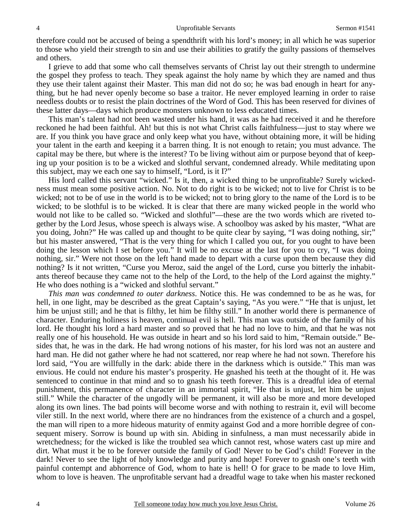therefore could not be accused of being a spendthrift with his lord's money; in all which he was superior to those who yield their strength to sin and use their abilities to gratify the guilty passions of themselves and others.

 I grieve to add that some who call themselves servants of Christ lay out their strength to undermine the gospel they profess to teach. They speak against the holy name by which they are named and thus they use their talent against their Master. This man did not do so; he was bad enough in heart for anything, but he had never openly become so base a traitor. He never employed learning in order to raise needless doubts or to resist the plain doctrines of the Word of God. This has been reserved for divines of these latter days—days which produce monsters unknown to less educated times.

 This man's talent had not been wasted under his hand, it was as he had received it and he therefore reckoned he had been faithful. Ah! but this is not what Christ calls faithfulness—just to stay where we are. If you think you have grace and only keep what you have, without obtaining more, it will be hiding your talent in the earth and keeping it a barren thing. It is not enough to retain; you must advance. The capital may be there, but where is the interest? To be living without aim or purpose beyond that of keeping up your position is to be a wicked and slothful servant, condemned already. While meditating upon this subject, may we each one say to himself, "Lord, is it I?"

 His lord called this servant "wicked." Is it, then, a wicked thing to be unprofitable? Surely wickedness must mean some positive action. No. Not to do right is to be wicked; not to live for Christ is to be wicked; not to be of use in the world is to be wicked; not to bring glory to the name of the Lord is to be wicked; to be slothful is to be wicked. It is clear that there are many wicked people in the world who would not like to be called so. "Wicked and slothful"—these are the two words which are riveted together by the Lord Jesus, whose speech is always wise. A schoolboy was asked by his master, "What are you doing, John?" He was called up and thought to be quite clear by saying, "I was doing nothing, sir;" but his master answered, "That is the very thing for which I called you out, for you ought to have been doing the lesson which I set before you." It will be no excuse at the last for you to cry, "I was doing nothing, sir." Were not those on the left hand made to depart with a curse upon them because they did nothing? Is it not written, "Curse you Meroz, said the angel of the Lord, curse you bitterly the inhabitants thereof because they came not to the help of the Lord, to the help of the Lord against the mighty." He who does nothing is a "wicked and slothful servant."

*This man was condemned to outer darkness*. Notice this. He was condemned to be as he was, for hell, in one light, may be described as the great Captain's saying, "As you were." "He that is unjust, let him be unjust still; and he that is filthy, let him be filthy still." In another world there is permanence of character. Enduring holiness is heaven, continual evil is hell. This man was outside of the family of his lord. He thought his lord a hard master and so proved that he had no love to him, and that he was not really one of his household. He was outside in heart and so his lord said to him, "Remain outside." Besides that, he was in the dark. He had wrong notions of his master, for his lord was not an austere and hard man. He did not gather where he had not scattered, nor reap where he had not sown. Therefore his lord said, "You are willfully in the dark: abide there in the darkness which is outside." This man was envious. He could not endure his master's prosperity. He gnashed his teeth at the thought of it. He was sentenced to continue in that mind and so to gnash his teeth forever. This is a dreadful idea of eternal punishment, this permanence of character in an immortal spirit, "He that is unjust, let him be unjust still." While the character of the ungodly will be permanent, it will also be more and more developed along its own lines. The bad points will become worse and with nothing to restrain it, evil will become viler still. In the next world, where there are no hindrances from the existence of a church and a gospel, the man will ripen to a more hideous maturity of enmity against God and a more horrible degree of consequent misery. Sorrow is bound up with sin. Abiding in sinfulness, a man must necessarily abide in wretchedness; for the wicked is like the troubled sea which cannot rest, whose waters cast up mire and dirt. What must it be to be forever outside the family of God! Never to be God's child! Forever in the dark! Never to see the light of holy knowledge and purity and hope! Forever to gnash one's teeth with painful contempt and abhorrence of God, whom to hate is hell! O for grace to be made to love Him, whom to love is heaven. The unprofitable servant had a dreadful wage to take when his master reckoned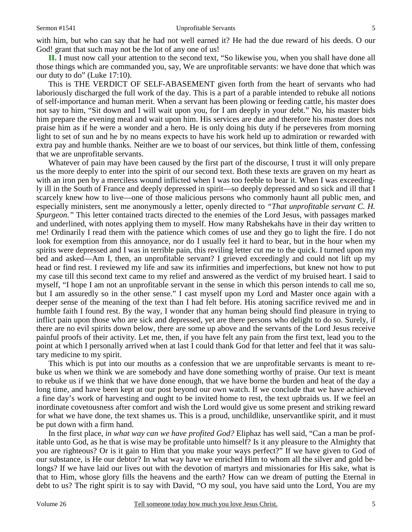**II.** I must now call your attention to the second text, "So likewise you, when you shall have done all those things which are commanded you, say, We are unprofitable servants: we have done that which was our duty to do" (Luke 17:10).

 This is THE VERDICT OF SELF-ABASEMENT given forth from the heart of servants who had laboriously discharged the full work of the day. This is a part of a parable intended to rebuke all notions of self-importance and human merit. When a servant has been plowing or feeding cattle, his master does not say to him, "Sit down and I will wait upon you, for I am deeply in your debt." No, his master bids him prepare the evening meal and wait upon him. His services are due and therefore his master does not praise him as if he were a wonder and a hero. He is only doing his duty if he perseveres from morning light to set of sun and he by no means expects to have his work held up to admiration or rewarded with extra pay and humble thanks. Neither are we to boast of our services, but think little of them, confessing that we are unprofitable servants.

 Whatever of pain may have been caused by the first part of the discourse, I trust it will only prepare us the more deeply to enter into the spirit of our second text. Both these texts are graven on my heart as with an iron pen by a merciless wound inflicted when I was too feeble to bear it. When I was exceedingly ill in the South of France and deeply depressed in spirit—so deeply depressed and so sick and ill that I scarcely knew how to live—one of those malicious persons who commonly haunt all public men, and especially ministers, sent me anonymously a letter, openly directed to *"That unprofitable servant C. H. Spurgeon."* This letter contained tracts directed to the enemies of the Lord Jesus, with passages marked and underlined, with notes applying them to myself. How many Rabshekahs have in their day written to me! Ordinarily I read them with the patience which comes of use and they go to light the fire. I do not look for exemption from this annoyance, nor do I usually feel it hard to bear, but in the hour when my spirits were depressed and I was in terrible pain, this reviling letter cut me to the quick. I turned upon my bed and asked—Am I, then, an unprofitable servant? I grieved exceedingly and could not lift up my head or find rest. I reviewed my life and saw its infirmities and imperfections, but knew not how to put my case till this second text came to my relief and answered as the verdict of my bruised heart. I said to myself, "I hope I am not an unprofitable servant in the sense in which this person intends to call me so, but I am assuredly so in the other sense." I cast myself upon my Lord and Master once again with a deeper sense of the meaning of the text than I had felt before. His atoning sacrifice revived me and in humble faith I found rest. By the way, I wonder that any human being should find pleasure in trying to inflict pain upon those who are sick and depressed, yet are there persons who delight to do so. Surely, if there are no evil spirits down below, there are some up above and the servants of the Lord Jesus receive painful proofs of their activity. Let me, then, if you have felt any pain from the first text, lead you to the point at which I personally arrived when at last I could thank God for that letter and feel that it was salutary medicine to my spirit.

 This which is put into our mouths as a confession that we are unprofitable servants is meant to rebuke us when we think we are somebody and have done something worthy of praise. Our text is meant to rebuke us if we think that we have done enough, that we have borne the burden and heat of the day a long time, and have been kept at our post beyond our own watch. If we conclude that we have achieved a fine day's work of harvesting and ought to be invited home to rest, the text upbraids us. If we feel an inordinate covetousness after comfort and wish the Lord would give us some present and striking reward for what we have done, the text shames us. This is a proud, unchildlike, unservantlike spirit, and it must be put down with a firm hand.

 In the first place, *in what way can we have profited God?* Eliphaz has well said, "Can a man be profitable unto God, as he that is wise may be profitable unto himself? Is it any pleasure to the Almighty that you are righteous? Or is it gain to Him that you make your ways perfect?" If we have given to God of our substance, is He our debtor? In what way have we enriched Him to whom all the silver and gold belongs? If we have laid our lives out with the devotion of martyrs and missionaries for His sake, what is that to Him, whose glory fills the heavens and the earth? How can we dream of putting the Eternal in debt to us? The right spirit is to say with David, "O my soul, you have said unto the Lord, You are my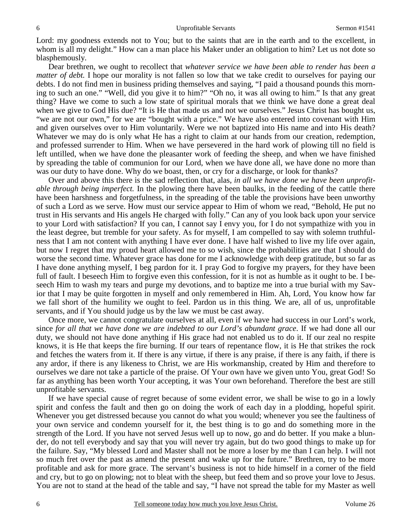Lord: my goodness extends not to You; but to the saints that are in the earth and to the excellent, in whom is all my delight." How can a man place his Maker under an obligation to him? Let us not dote so blasphemously.

 Dear brethren, we ought to recollect that *whatever service we have been able to render has been a matter of debt.* I hope our morality is not fallen so low that we take credit to ourselves for paying our debts. I do not find men in business priding themselves and saying, "I paid a thousand pounds this morning to such an one." "Well, did you give it to him?" "Oh no, it was all owing to him." Is that any great thing? Have we come to such a low state of spiritual morals that we think we have done a great deal when we give to God His due? "It is He that made us and not we ourselves." Jesus Christ has bought us, "we are not our own," for we are "bought with a price." We have also entered into covenant with Him and given ourselves over to Him voluntarily. Were we not baptized into His name and into His death? Whatever we may do is only what He has a right to claim at our hands from our creation, redemption, and professed surrender to Him. When we have persevered in the hard work of plowing till no field is left untilled, when we have done the pleasanter work of feeding the sheep, and when we have finished by spreading the table of communion for our Lord, when we have done all, we have done no more than was our duty to have done. Why do we boast, then, or cry for a discharge, or look for thanks?

 Over and above this there is the sad reflection that, alas, *in all we have done we have been unprofitable through being imperfect.* In the plowing there have been baulks, in the feeding of the cattle there have been harshness and forgetfulness, in the spreading of the table the provisions have been unworthy of such a Lord as we serve. How must our service appear to Him of whom we read, "Behold, He put no trust in His servants and His angels He charged with folly." Can any of you look back upon your service to your Lord with satisfaction? If you can, I cannot say I envy you, for I do not sympathize with you in the least degree, but tremble for your safety. As for myself, I am compelled to say with solemn truthfulness that I am not content with anything I have ever done. I have half wished to live my life over again, but now I regret that my proud heart allowed me to so wish, since the probabilities are that I should do worse the second time. Whatever grace has done for me I acknowledge with deep gratitude, but so far as I have done anything myself, I beg pardon for it. I pray God to forgive my prayers, for they have been full of fault. I beseech Him to forgive even this confession, for it is not as humble as it ought to be. I beseech Him to wash my tears and purge my devotions, and to baptize me into a true burial with my Savior that I may be quite forgotten in myself and only remembered in Him. Ah, Lord, You know how far we fall short of the humility we ought to feel. Pardon us in this thing. We are, all of us, unprofitable servants, and if You should judge us by the law we must be cast away.

 Once more, we cannot congratulate ourselves at all, even if we have had success in our Lord's work, since *for all that we have done we are indebted to our Lord's abundant grace*. If we had done all our duty, we should not have done anything if His grace had not enabled us to do it. If our zeal no respite knows, it is He that keeps the fire burning. If our tears of repentance flow, it is He that strikes the rock and fetches the waters from it. If there is any virtue, if there is any praise, if there is any faith, if there is any ardor, if there is any likeness to Christ, we are His workmanship, created by Him and therefore to ourselves we dare not take a particle of the praise. Of Your own have we given unto You, great God! So far as anything has been worth Your accepting, it was Your own beforehand. Therefore the best are still unprofitable servants.

 If we have special cause of regret because of some evident error, we shall be wise to go in a lowly spirit and confess the fault and then go on doing the work of each day in a plodding, hopeful spirit. Whenever you get distressed because you cannot do what you would; whenever you see the faultiness of your own service and condemn yourself for it, the best thing is to go and do something more in the strength of the Lord. If you have not served Jesus well up to now, go and do better. If you make a blunder, do not tell everybody and say that you will never try again, but do two good things to make up for the failure. Say, "My blessed Lord and Master shall not be more a loser by me than I can help. I will not so much fret over the past as amend the present and wake up for the future." Brethren, try to be more profitable and ask for more grace. The servant's business is not to hide himself in a corner of the field and cry, but to go on plowing; not to bleat with the sheep, but feed them and so prove your love to Jesus. You are not to stand at the head of the table and say, "I have not spread the table for my Master as well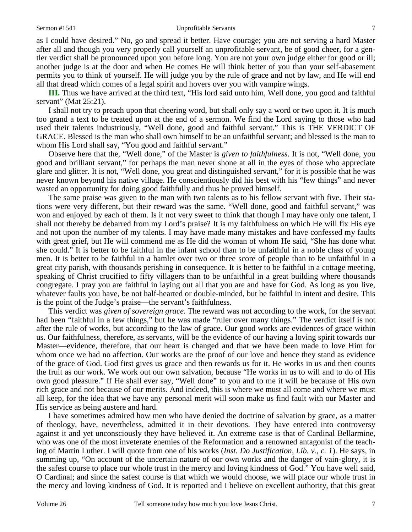as I could have desired." No, go and spread it better. Have courage; you are not serving a hard Master after all and though you very properly call yourself an unprofitable servant, be of good cheer, for a gentler verdict shall be pronounced upon you before long. You are not your own judge either for good or ill; another judge is at the door and when He comes He will think better of you than your self-abasement permits you to think of yourself. He will judge you by the rule of grace and not by law, and He will end all that dread which comes of a legal spirit and hovers over you with vampire wings.

**III.** Thus we have arrived at the third text, "His lord said unto him, Well done, you good and faithful servant" (Mat 25:21).

 I shall not try to preach upon that cheering word, but shall only say a word or two upon it. It is much too grand a text to be treated upon at the end of a sermon. We find the Lord saying to those who had used their talents industriously, "Well done, good and faithful servant." This is THE VERDICT OF GRACE. Blessed is the man who shall own himself to be an unfaithful servant; and blessed is the man to whom His Lord shall say, "You good and faithful servant."

 Observe here that the, "Well done," of the Master is *given to faithfulness*. It is not, "Well done, you good and brilliant servant," for perhaps the man never shone at all in the eyes of those who appreciate glare and glitter. It is not, "Well done, you great and distinguished servant," for it is possible that he was never known beyond his native village. He conscientiously did his best with his "few things" and never wasted an opportunity for doing good faithfully and thus he proved himself.

 The same praise was given to the man with two talents as to his fellow servant with five. Their stations were very different, but their reward was the same. "Well done, good and faithful servant," was won and enjoyed by each of them. Is it not very sweet to think that though I may have only one talent, I shall not thereby be debarred from my Lord's praise? It is my faithfulness on which He will fix His eye and not upon the number of my talents. I may have made many mistakes and have confessed my faults with great grief, but He will commend me as He did the woman of whom He said, "She has done what she could." It is better to be faithful in the infant school than to be unfaithful in a noble class of young men. It is better to be faithful in a hamlet over two or three score of people than to be unfaithful in a great city parish, with thousands perishing in consequence. It is better to be faithful in a cottage meeting, speaking of Christ crucified to fifty villagers than to be unfaithful in a great building where thousands congregate. I pray you are faithful in laying out all that you are and have for God. As long as you live, whatever faults you have, be not half-hearted or double-minded, but be faithful in intent and desire. This is the point of the Judge's praise—the servant's faithfulness.

 This verdict was *given of sovereign grace*. The reward was not according to the work, for the servant had been "faithful in a few things," but he was made "ruler over many things." The verdict itself is not after the rule of works, but according to the law of grace. Our good works are evidences of grace within us. Our faithfulness, therefore, as servants, will be the evidence of our having a loving spirit towards our Master—evidence, therefore, that our heart is changed and that we have been made to love Him for whom once we had no affection. Our works are the proof of our love and hence they stand as evidence of the grace of God. God first gives us grace and then rewards us for it. He works in us and then counts the fruit as our work. We work out our own salvation, because "He works in us to will and to do of His own good pleasure." If He shall ever say, "Well done" to you and to me it will be because of His own rich grace and not because of our merits. And indeed, this is where we must all come and where we must all keep, for the idea that we have any personal merit will soon make us find fault with our Master and His service as being austere and hard.

 I have sometimes admired how men who have denied the doctrine of salvation by grace, as a matter of theology, have, nevertheless, admitted it in their devotions. They have entered into controversy against it and yet unconsciously they have believed it. An extreme case is that of Cardinal Bellarmine, who was one of the most inveterate enemies of the Reformation and a renowned antagonist of the teaching of Martin Luther. I will quote from one of his works (*Inst. Do Justification, Lib. v., c. 1*). He says, in summing up, "On account of the uncertain nature of our own works and the danger of vain-glory, it is the safest course to place our whole trust in the mercy and loving kindness of God." You have well said, O Cardinal; and since the safest course is that which we would choose, we will place our whole trust in the mercy and loving kindness of God. It is reported and I believe on excellent authority, that this great